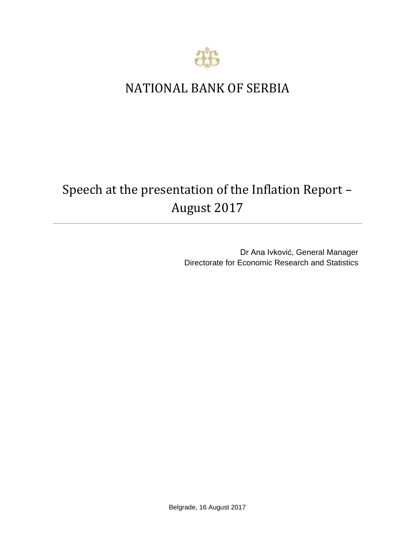

## NATIONAL BANK OF SERBIA

# Speech at the presentation of the Inflation Report – August 2017

Dr Ana Ivković, General Manager Directorate for Economic Research and Statistics

Belgrade, 16 August 2017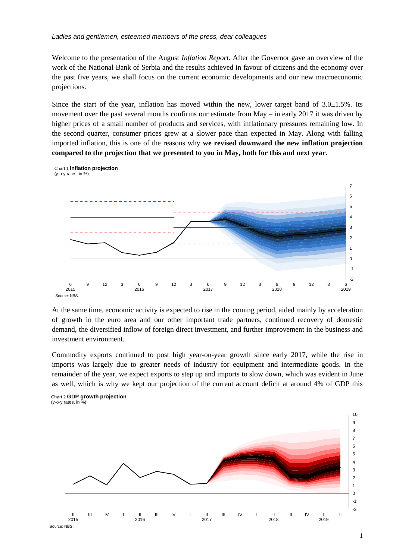#### *Ladies and gentlemen, esteemed members of the press, dear colleagues*

Welcome to the presentation of the August *Inflation Report*. After the Governor gave an overview of the work of the National Bank of Serbia and the results achieved in favour of citizens and the economy over the past five years, we shall focus on the current economic developments and our new macroeconomic projections.

Since the start of the year, inflation has moved within the new, lower target band of  $3.0\pm1.5\%$ . Its movement over the past several months confirms our estimate from May – in early 2017 it was driven by higher prices of a small number of products and services, with inflationary pressures remaining low. In the second quarter, consumer prices grew at a slower pace than expected in May. Along with falling imported inflation, this is one of the reasons why **we revised downward the new inflation projection compared to the projection that we presented to you in May, both for this and next year**.



At the same time, economic activity is expected to rise in the coming period, aided mainly by acceleration of growth in the euro area and our other important trade partners, continued recovery of domestic demand, the diversified inflow of foreign direct investment, and further improvement in the business and investment environment.

Commodity exports continued to post high year-on-year growth since early 2017, while the rise in imports was largely due to greater needs of industry for equipment and intermediate goods. In the remainder of the year, we expect exports to step up and imports to slow down, which was evident in June as well, which is why we kept our projection of the current account deficit at around 4% of GDP this

Chart 2 **GDP growth projection**  (y-o-y rates, in %)



<sup>1</sup>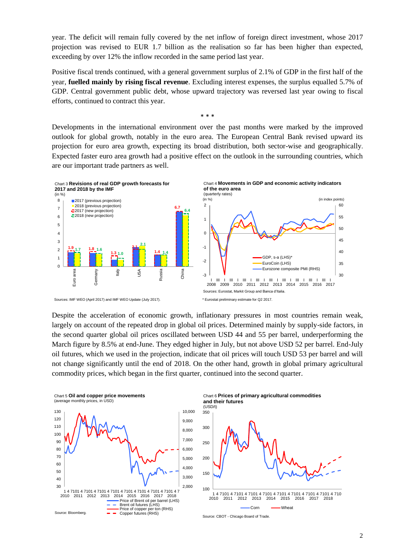year. The deficit will remain fully covered by the net inflow of foreign direct investment, whose 2017 projection was revised to EUR 1.7 billion as the realisation so far has been higher than expected, exceeding by over 12% the inflow recorded in the same period last year.

Positive fiscal trends continued, with a general government surplus of 2.1% of GDP in the first half of the year, **fuelled mainly by rising fiscal revenue**. Excluding interest expenses, the surplus equalled 5.7% of GDP. Central government public debt, whose upward trajectory was reversed last year owing to fiscal efforts, continued to contract this year.

Developments in the international environment over the past months were marked by the improved outlook for global growth, notably in the euro area. The European Central Bank revised upward its projection for euro area growth, expecting its broad distribution, both sector-wise and geographically. Expected faster euro area growth had a positive effect on the outlook in the surrounding countries, which are our important trade partners as well.

\* \* \*



Despite the acceleration of economic growth, inflationary pressures in most countries remain weak, largely on account of the repeated drop in global oil prices. Determined mainly by supply-side factors, in the second quarter global oil prices oscillated between USD 44 and 55 per barrel, underperforming the March figure by 8.5% at end-June. They edged higher in July, but not above USD 52 per barrel. End-July oil futures, which we used in the projection, indicate that oil prices will touch USD 53 per barrel and will not change significantly until the end of 2018. On the other hand, growth in global primary agricultural commodity prices, which began in the first quarter, continued into the second quarter.



Chart 6 **Prices of primary agricultural commodities and their futures** (USD/t)



Source: CBOT - Chicago Boаrd of Trade.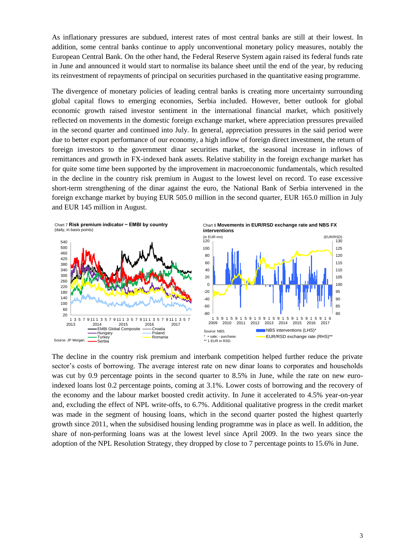As inflationary pressures are subdued, interest rates of most central banks are still at their lowest. In addition, some central banks continue to apply unconventional monetary policy measures, notably the European Central Bank. On the other hand, the Federal Reserve System again raised its federal funds rate in June and announced it would start to normalise its balance sheet until the end of the year, by reducing its reinvestment of repayments of principal on securities purchased in the quantitative easing programme.

The divergence of monetary policies of leading central banks is creating more uncertainty surrounding global capital flows to emerging economies, Serbia included. However, better outlook for global economic growth raised investor sentiment in the international financial market, which positively reflected on movements in the domestic foreign exchange market, where appreciation pressures prevailed in the second quarter and continued into July. In general, appreciation pressures in the said period were due to better export performance of our economy, a high inflow of foreign direct investment, the return of foreign investors to the government dinar securities market, the seasonal increase in inflows of remittances and growth in FX-indexed bank assets. Relative stability in the foreign exchange market has for quite some time been supported by the improvement in macroeconomic fundamentals, which resulted in the decline in the country risk premium in August to the lowest level on record. To ease excessive short-term strengthening of the dinar against the euro, the National Bank of Serbia intervened in the foreign exchange market by buying EUR 505.0 million in the second quarter, EUR 165.0 million in July and EUR 145 million in August.



The decline in the country risk premium and interbank competition helped further reduce the private sector's costs of borrowing. The average interest rate on new dinar loans to corporates and households was cut by 0.9 percentage points in the second quarter to 8.5% in June, while the rate on new euroindexed loans lost 0.2 percentage points, coming at 3.1%. Lower costs of borrowing and the recovery of the economy and the labour market boosted credit activity. In June it accelerated to 4.5% year-on-year and, excluding the effect of NPL write-offs, to 6.7%. Additional qualitative progress in the credit market was made in the segment of housing loans, which in the second quarter posted the highest quarterly growth since 2011, when the subsidised housing lending programme was in place as well. In addition, the share of non-performing loans was at the lowest level since April 2009. In the two years since the adoption of the NPL Resolution Strategy, they dropped by close to 7 percentage points to 15.6% in June.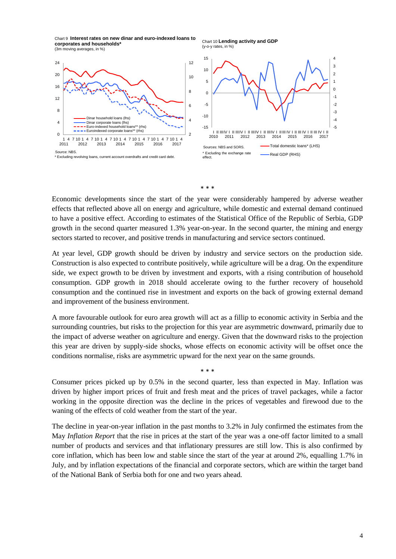Chart 9 **Interest rates on new dinar and euro-indexed loans to corporates and households\*** (3m moving averages, in %)

![](_page_4_Figure_1.jpeg)

![](_page_4_Figure_2.jpeg)

Chart 10 **Lending activity and GDP** 

(y-o-y rates, in %)

\* \* \*

Economic developments since the start of the year were considerably hampered by adverse weather effects that reflected above all on energy and agriculture, while domestic and external demand continued to have a positive effect. According to estimates of the Statistical Office of the Republic of Serbia, GDP growth in the second quarter measured 1.3% year-on-year. In the second quarter, the mining and energy sectors started to recover, and positive trends in manufacturing and service sectors continued.

At year level, GDP growth should be driven by industry and service sectors on the production side. Construction is also expected to contribute positively, while agriculture will be a drag. On the expenditure side, we expect growth to be driven by investment and exports, with a rising contribution of household consumption. GDP growth in 2018 should accelerate owing to the further recovery of household consumption and the continued rise in investment and exports on the back of growing external demand and improvement of the business environment.

A more favourable outlook for euro area growth will act as a fillip to economic activity in Serbia and the surrounding countries, but risks to the projection for this year are asymmetric downward, primarily due to the impact of adverse weather on agriculture and energy. Given that the downward risks to the projection this year are driven by supply-side shocks, whose effects on economic activity will be offset once the conditions normalise, risks are asymmetric upward for the next year on the same grounds.

Consumer prices picked up by 0.5% in the second quarter, less than expected in May. Inflation was driven by higher import prices of fruit and fresh meat and the prices of travel packages, while a factor working in the opposite direction was the decline in the prices of vegetables and firewood due to the waning of the effects of cold weather from the start of the year.

\* \* \*

The decline in year-on-year inflation in the past months to 3.2% in July confirmed the estimates from the May *Inflation Report* that the rise in prices at the start of the year was a one-off factor limited to a small number of products and services and that inflationary pressures are still low. This is also confirmed by core inflation, which has been low and stable since the start of the year at around 2%, equalling 1.7% in July, and by inflation expectations of the financial and corporate sectors, which are within the target band of the National Bank of Serbia both for one and two years ahead.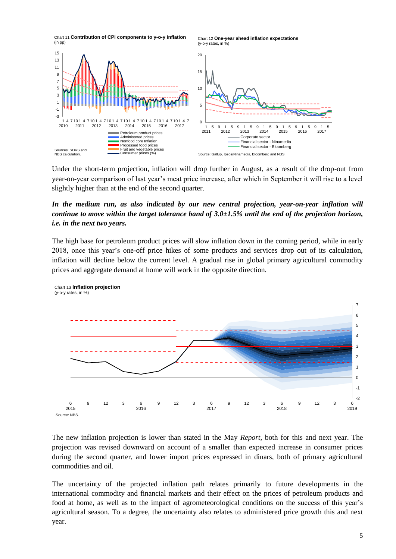![](_page_5_Figure_0.jpeg)

Under the short-term projection, inflation will drop further in August, as a result of the drop-out from year-on-year comparison of last year's meat price increase, after which in September it will rise to a level slightly higher than at the end of the second quarter.

## *In the medium run, as also indicated by our new central projection, year-on-year inflation will continue to move within the target tolerance band of 3.0±1.5% until the end of the projection horizon, i.e. in the next two years.*

The high base for petroleum product prices will slow inflation down in the coming period, while in early 2018, once this year's one-off price hikes of some products and services drop out of its calculation, inflation will decline below the current level. A gradual rise in global primary agricultural commodity prices and aggregate demand at home will work in the opposite direction.

![](_page_5_Figure_4.jpeg)

The new inflation projection is lower than stated in the May *Report*, both for this and next year. The projection was revised downward on account of a smaller than expected increase in consumer prices during the second quarter, and lower import prices expressed in dinars, both of primary agricultural commodities and oil.

The uncertainty of the projected inflation path relates primarily to future developments in the international commodity and financial markets and their effect on the prices of petroleum products and food at home, as well as to the impact of agrometeorological conditions on the success of this year's agricultural season. To a degree, the uncertainty also relates to administered price growth this and next year.